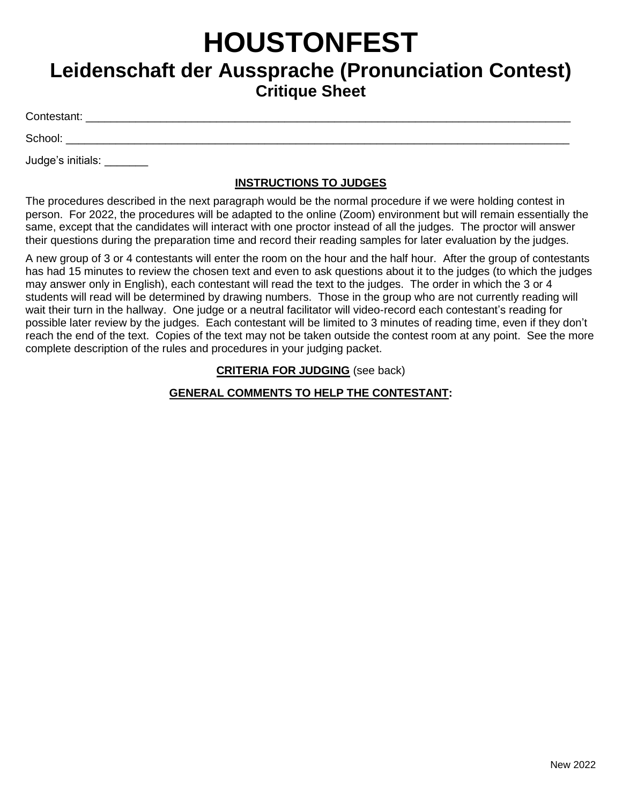# **HOUSTONFEST**

# **Leidenschaft der Aussprache (Pronunciation Contest) Critique Sheet**

Contestant: \_\_\_\_\_\_\_\_\_\_\_\_\_\_\_\_\_\_\_\_\_\_\_\_\_\_\_\_\_\_\_\_\_\_\_\_\_\_\_\_\_\_\_\_\_\_\_\_\_\_\_\_\_\_\_\_\_\_\_\_\_\_\_\_\_\_\_\_\_\_\_\_\_\_\_\_\_\_

 $School:$ 

Judge's initials: \_\_\_\_\_\_\_

### **INSTRUCTIONS TO JUDGES**

The procedures described in the next paragraph would be the normal procedure if we were holding contest in person. For 2022, the procedures will be adapted to the online (Zoom) environment but will remain essentially the same, except that the candidates will interact with one proctor instead of all the judges. The proctor will answer their questions during the preparation time and record their reading samples for later evaluation by the judges.

A new group of 3 or 4 contestants will enter the room on the hour and the half hour. After the group of contestants has had 15 minutes to review the chosen text and even to ask questions about it to the judges (to which the judges may answer only in English), each contestant will read the text to the judges. The order in which the 3 or 4 students will read will be determined by drawing numbers. Those in the group who are not currently reading will wait their turn in the hallway. One judge or a neutral facilitator will video-record each contestant's reading for possible later review by the judges. Each contestant will be limited to 3 minutes of reading time, even if they don't reach the end of the text. Copies of the text may not be taken outside the contest room at any point. See the more complete description of the rules and procedures in your judging packet.

#### **CRITERIA FOR JUDGING** (see back)

## **GENERAL COMMENTS TO HELP THE CONTESTANT:**